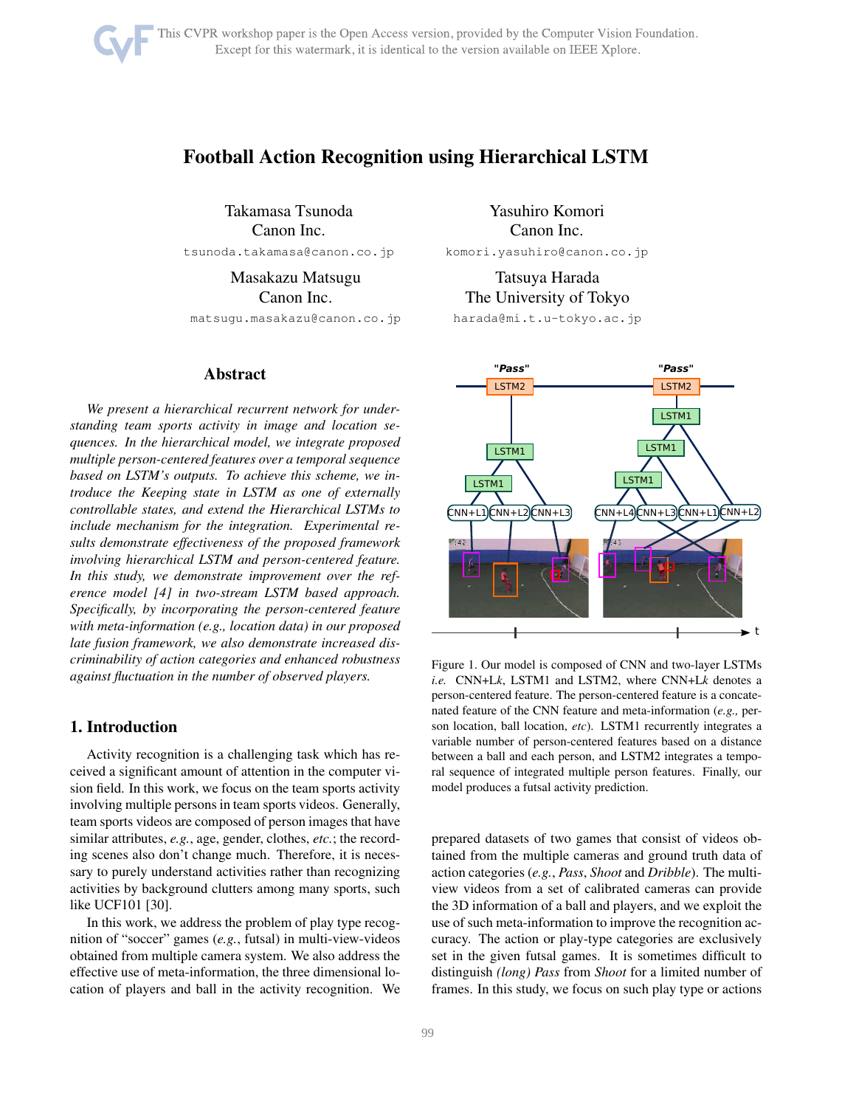# Football Action Recognition using Hierarchical LSTM

Takamasa Tsunoda Canon Inc. tsunoda.takamasa@canon.co.jp

Masakazu Matsugu Canon Inc. matsugu.masakazu@canon.co.jp

## Abstract

*We present a hierarchical recurrent network for understanding team sports activity in image and location sequences. In the hierarchical model, we integrate proposed multiple person-centered features over a temporal sequence based on LSTM's outputs. To achieve this scheme, we introduce the Keeping state in LSTM as one of externally controllable states, and extend the Hierarchical LSTMs to include mechanism for the integration. Experimental results demonstrate effectiveness of the proposed framework involving hierarchical LSTM and person-centered feature. In this study, we demonstrate improvement over the reference model [4] in two-stream LSTM based approach. Specifically, by incorporating the person-centered feature with meta-information (e.g., location data) in our proposed late fusion framework, we also demonstrate increased discriminability of action categories and enhanced robustness against fluctuation in the number of observed players.*

## 1. Introduction

Activity recognition is a challenging task which has received a significant amount of attention in the computer vision field. In this work, we focus on the team sports activity involving multiple persons in team sports videos. Generally, team sports videos are composed of person images that have similar attributes, *e.g.*, age, gender, clothes, *etc.*; the recording scenes also don't change much. Therefore, it is necessary to purely understand activities rather than recognizing activities by background clutters among many sports, such like UCF101 [30].

In this work, we address the problem of play type recognition of "soccer" games (*e.g.*, futsal) in multi-view-videos obtained from multiple camera system. We also address the effective use of meta-information, the three dimensional location of players and ball in the activity recognition. We

Yasuhiro Komori Canon Inc. komori.yasuhiro@canon.co.jp

Tatsuya Harada The University of Tokyo

harada@mi.t.u-tokyo.ac.jp



Figure 1. Our model is composed of CNN and two-layer LSTMs *i.e.* CNN+L*k*, LSTM1 and LSTM2, where CNN+L*k* denotes a person-centered feature. The person-centered feature is a concatenated feature of the CNN feature and meta-information (*e.g.,* person location, ball location, *etc*). LSTM1 recurrently integrates a variable number of person-centered features based on a distance between a ball and each person, and LSTM2 integrates a temporal sequence of integrated multiple person features. Finally, our model produces a futsal activity prediction.

prepared datasets of two games that consist of videos obtained from the multiple cameras and ground truth data of action categories (*e.g.*, *Pass*, *Shoot* and *Dribble*). The multiview videos from a set of calibrated cameras can provide the 3D information of a ball and players, and we exploit the use of such meta-information to improve the recognition accuracy. The action or play-type categories are exclusively set in the given futsal games. It is sometimes difficult to distinguish *(long) Pass* from *Shoot* for a limited number of frames. In this study, we focus on such play type or actions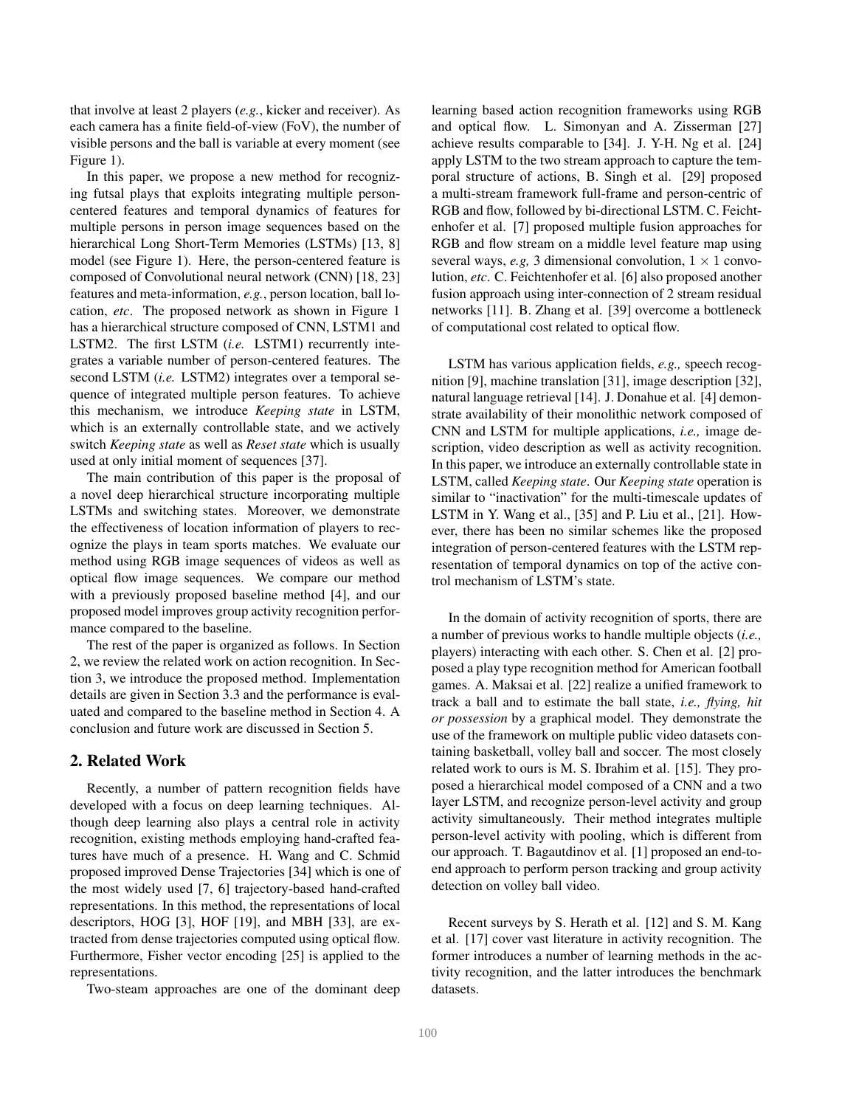that involve at least 2 players (*e.g.*, kicker and receiver). As each camera has a finite field-of-view (FoV), the number of visible persons and the ball is variable at every moment (see Figure 1).

In this paper, we propose a new method for recognizing futsal plays that exploits integrating multiple personcentered features and temporal dynamics of features for multiple persons in person image sequences based on the hierarchical Long Short-Term Memories (LSTMs) [13, 8] model (see Figure 1). Here, the person-centered feature is composed of Convolutional neural network (CNN) [18, 23] features and meta-information, *e.g.*, person location, ball location, *etc*. The proposed network as shown in Figure 1 has a hierarchical structure composed of CNN, LSTM1 and LSTM2. The first LSTM (*i.e.* LSTM1) recurrently integrates a variable number of person-centered features. The second LSTM (*i.e.* LSTM2) integrates over a temporal sequence of integrated multiple person features. To achieve this mechanism, we introduce *Keeping state* in LSTM, which is an externally controllable state, and we actively switch *Keeping state* as well as *Reset state* which is usually used at only initial moment of sequences [37].

The main contribution of this paper is the proposal of a novel deep hierarchical structure incorporating multiple LSTMs and switching states. Moreover, we demonstrate the effectiveness of location information of players to recognize the plays in team sports matches. We evaluate our method using RGB image sequences of videos as well as optical flow image sequences. We compare our method with a previously proposed baseline method [4], and our proposed model improves group activity recognition performance compared to the baseline.

The rest of the paper is organized as follows. In Section 2, we review the related work on action recognition. In Section 3, we introduce the proposed method. Implementation details are given in Section 3.3 and the performance is evaluated and compared to the baseline method in Section 4. A conclusion and future work are discussed in Section 5.

## 2. Related Work

Recently, a number of pattern recognition fields have developed with a focus on deep learning techniques. Although deep learning also plays a central role in activity recognition, existing methods employing hand-crafted features have much of a presence. H. Wang and C. Schmid proposed improved Dense Trajectories [34] which is one of the most widely used [7, 6] trajectory-based hand-crafted representations. In this method, the representations of local descriptors, HOG [3], HOF [19], and MBH [33], are extracted from dense trajectories computed using optical flow. Furthermore, Fisher vector encoding [25] is applied to the representations.

Two-steam approaches are one of the dominant deep

learning based action recognition frameworks using RGB and optical flow. L. Simonyan and A. Zisserman [27] achieve results comparable to [34]. J. Y-H. Ng et al. [24] apply LSTM to the two stream approach to capture the temporal structure of actions, B. Singh et al. [29] proposed a multi-stream framework full-frame and person-centric of RGB and flow, followed by bi-directional LSTM. C. Feichtenhofer et al. [7] proposed multiple fusion approaches for RGB and flow stream on a middle level feature map using several ways, *e.g,* 3 dimensional convolution,  $1 \times 1$  convolution, *etc*. C. Feichtenhofer et al. [6] also proposed another fusion approach using inter-connection of 2 stream residual networks [11]. B. Zhang et al. [39] overcome a bottleneck of computational cost related to optical flow.

LSTM has various application fields, *e.g.,* speech recognition [9], machine translation [31], image description [32], natural language retrieval [14]. J. Donahue et al. [4] demonstrate availability of their monolithic network composed of CNN and LSTM for multiple applications, *i.e.,* image description, video description as well as activity recognition. In this paper, we introduce an externally controllable state in LSTM, called *Keeping state*. Our *Keeping state* operation is similar to "inactivation" for the multi-timescale updates of LSTM in Y. Wang et al., [35] and P. Liu et al., [21]. However, there has been no similar schemes like the proposed integration of person-centered features with the LSTM representation of temporal dynamics on top of the active control mechanism of LSTM's state.

In the domain of activity recognition of sports, there are a number of previous works to handle multiple objects (*i.e.,* players) interacting with each other. S. Chen et al. [2] proposed a play type recognition method for American football games. A. Maksai et al. [22] realize a unified framework to track a ball and to estimate the ball state, *i.e., flying, hit or possession* by a graphical model. They demonstrate the use of the framework on multiple public video datasets containing basketball, volley ball and soccer. The most closely related work to ours is M. S. Ibrahim et al. [15]. They proposed a hierarchical model composed of a CNN and a two layer LSTM, and recognize person-level activity and group activity simultaneously. Their method integrates multiple person-level activity with pooling, which is different from our approach. T. Bagautdinov et al. [1] proposed an end-toend approach to perform person tracking and group activity detection on volley ball video.

Recent surveys by S. Herath et al. [12] and S. M. Kang et al. [17] cover vast literature in activity recognition. The former introduces a number of learning methods in the activity recognition, and the latter introduces the benchmark datasets.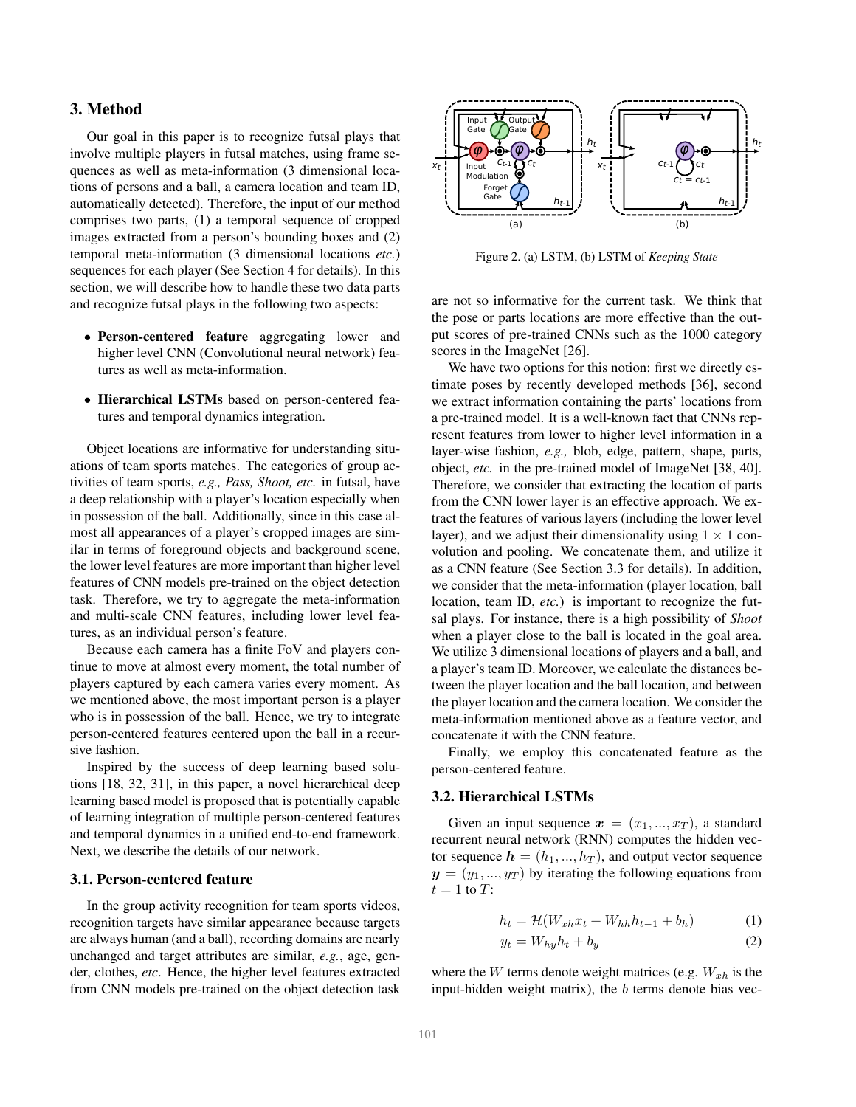# 3. Method

Our goal in this paper is to recognize futsal plays that involve multiple players in futsal matches, using frame sequences as well as meta-information (3 dimensional locations of persons and a ball, a camera location and team ID, automatically detected). Therefore, the input of our method comprises two parts, (1) a temporal sequence of cropped images extracted from a person's bounding boxes and (2) temporal meta-information (3 dimensional locations *etc.*) sequences for each player (See Section 4 for details). In this section, we will describe how to handle these two data parts and recognize futsal plays in the following two aspects:

- Person-centered feature aggregating lower and higher level CNN (Convolutional neural network) features as well as meta-information.
- Hierarchical LSTMs based on person-centered features and temporal dynamics integration.

Object locations are informative for understanding situations of team sports matches. The categories of group activities of team sports, *e.g., Pass, Shoot, etc.* in futsal, have a deep relationship with a player's location especially when in possession of the ball. Additionally, since in this case almost all appearances of a player's cropped images are similar in terms of foreground objects and background scene, the lower level features are more important than higher level features of CNN models pre-trained on the object detection task. Therefore, we try to aggregate the meta-information and multi-scale CNN features, including lower level features, as an individual person's feature.

Because each camera has a finite FoV and players continue to move at almost every moment, the total number of players captured by each camera varies every moment. As we mentioned above, the most important person is a player who is in possession of the ball. Hence, we try to integrate person-centered features centered upon the ball in a recursive fashion.

Inspired by the success of deep learning based solutions [18, 32, 31], in this paper, a novel hierarchical deep learning based model is proposed that is potentially capable of learning integration of multiple person-centered features and temporal dynamics in a unified end-to-end framework. Next, we describe the details of our network.

#### 3.1. Person-centered feature

In the group activity recognition for team sports videos, recognition targets have similar appearance because targets are always human (and a ball), recording domains are nearly unchanged and target attributes are similar, *e.g.*, age, gender, clothes, *etc*. Hence, the higher level features extracted from CNN models pre-trained on the object detection task



Figure 2. (a) LSTM, (b) LSTM of *Keeping State*

are not so informative for the current task. We think that the pose or parts locations are more effective than the output scores of pre-trained CNNs such as the 1000 category scores in the ImageNet [26].

We have two options for this notion: first we directly estimate poses by recently developed methods [36], second we extract information containing the parts' locations from a pre-trained model. It is a well-known fact that CNNs represent features from lower to higher level information in a layer-wise fashion, *e.g.,* blob, edge, pattern, shape, parts, object, *etc.* in the pre-trained model of ImageNet [38, 40]. Therefore, we consider that extracting the location of parts from the CNN lower layer is an effective approach. We extract the features of various layers (including the lower level layer), and we adjust their dimensionality using  $1 \times 1$  convolution and pooling. We concatenate them, and utilize it as a CNN feature (See Section 3.3 for details). In addition, we consider that the meta-information (player location, ball location, team ID, *etc.*) is important to recognize the futsal plays. For instance, there is a high possibility of *Shoot* when a player close to the ball is located in the goal area. We utilize 3 dimensional locations of players and a ball, and a player's team ID. Moreover, we calculate the distances between the player location and the ball location, and between the player location and the camera location. We consider the meta-information mentioned above as a feature vector, and concatenate it with the CNN feature.

Finally, we employ this concatenated feature as the person-centered feature.

#### 3.2. Hierarchical LSTMs

Given an input sequence  $x = (x_1, ..., x_T)$ , a standard recurrent neural network (RNN) computes the hidden vector sequence  $h = (h_1, ..., h_T)$ , and output vector sequence  $y = (y_1, ..., y_T)$  by iterating the following equations from  $t = 1$  to  $T$ :

$$
h_t = \mathcal{H}(W_{xh}x_t + W_{hh}h_{t-1} + b_h)
$$
 (1)

$$
y_t = W_{hy}h_t + b_y \tag{2}
$$

where the W terms denote weight matrices (e.g.  $W_{xh}$  is the input-hidden weight matrix), the  $b$  terms denote bias vec-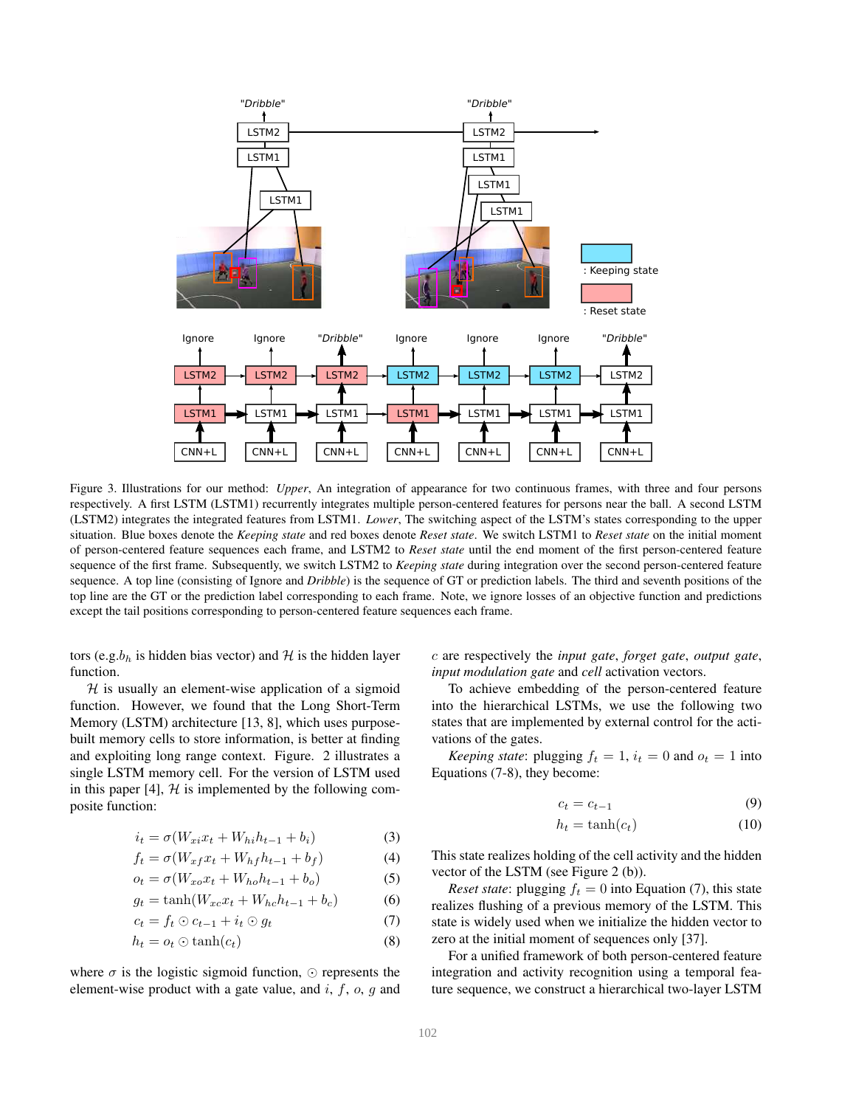

Figure 3. Illustrations for our method: *Upper*, An integration of appearance for two continuous frames, with three and four persons respectively. A first LSTM (LSTM1) recurrently integrates multiple person-centered features for persons near the ball. A second LSTM (LSTM2) integrates the integrated features from LSTM1. *Lower*, The switching aspect of the LSTM's states corresponding to the upper situation. Blue boxes denote the *Keeping state* and red boxes denote *Reset state*. We switch LSTM1 to *Reset state* on the initial moment of person-centered feature sequences each frame, and LSTM2 to *Reset state* until the end moment of the first person-centered feature sequence of the first frame. Subsequently, we switch LSTM2 to *Keeping state* during integration over the second person-centered feature sequence. A top line (consisting of Ignore and *Dribble*) is the sequence of GT or prediction labels. The third and seventh positions of the top line are the GT or the prediction label corresponding to each frame. Note, we ignore losses of an objective function and predictions except the tail positions corresponding to person-centered feature sequences each frame.

tors (e.g. $b_h$  is hidden bias vector) and  $H$  is the hidden layer function.

 $H$  is usually an element-wise application of a sigmoid function. However, we found that the Long Short-Term Memory (LSTM) architecture [13, 8], which uses purposebuilt memory cells to store information, is better at finding and exploiting long range context. Figure. 2 illustrates a single LSTM memory cell. For the version of LSTM used in this paper [4],  $H$  is implemented by the following composite function:

$$
i_t = \sigma(W_{xi}x_t + W_{hi}h_{t-1} + b_i)
$$
\n(3)

$$
f_t = \sigma(W_{xf}x_t + W_{hf}h_{t-1} + b_f)
$$
\n<sup>(4)</sup>

$$
o_t = \sigma(W_{xo}x_t + W_{ho}h_{t-1} + b_o)
$$
\n<sup>(5)</sup>

$$
g_t = \tanh(W_{xc}x_t + W_{hc}h_{t-1} + b_c)
$$
 (6)

$$
c_t = f_t \odot c_{t-1} + i_t \odot g_t \tag{7}
$$

$$
h_t = o_t \odot \tanh(c_t) \tag{8}
$$

where  $\sigma$  is the logistic sigmoid function,  $\odot$  represents the element-wise product with a gate value, and  $i, f, o, g$  and

c are respectively the *input gate*, *forget gate*, *output gate*, *input modulation gate* and *cell* activation vectors.

To achieve embedding of the person-centered feature into the hierarchical LSTMs, we use the following two states that are implemented by external control for the activations of the gates.

*Keeping state*: plugging  $f_t = 1$ ,  $i_t = 0$  and  $o_t = 1$  into Equations (7-8), they become:

$$
c_t = c_{t-1} \tag{9}
$$

$$
h_t = \tanh(c_t) \tag{10}
$$

This state realizes holding of the cell activity and the hidden vector of the LSTM (see Figure 2 (b)).

*Reset state*: plugging  $f_t = 0$  into Equation (7), this state realizes flushing of a previous memory of the LSTM. This state is widely used when we initialize the hidden vector to zero at the initial moment of sequences only [37].

For a unified framework of both person-centered feature integration and activity recognition using a temporal feature sequence, we construct a hierarchical two-layer LSTM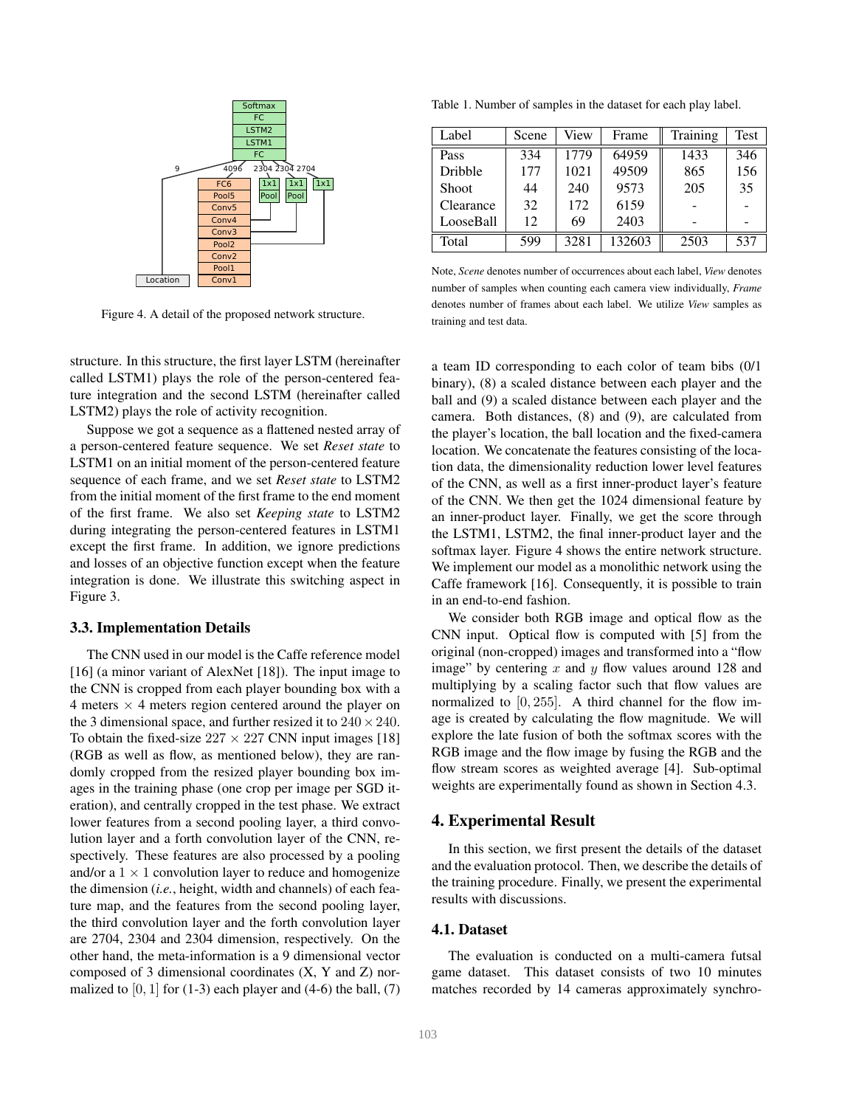

Figure 4. A detail of the proposed network structure.

structure. In this structure, the first layer LSTM (hereinafter called LSTM1) plays the role of the person-centered feature integration and the second LSTM (hereinafter called LSTM2) plays the role of activity recognition.

Suppose we got a sequence as a flattened nested array of a person-centered feature sequence. We set *Reset state* to LSTM1 on an initial moment of the person-centered feature sequence of each frame, and we set *Reset state* to LSTM2 from the initial moment of the first frame to the end moment of the first frame. We also set *Keeping state* to LSTM2 during integrating the person-centered features in LSTM1 except the first frame. In addition, we ignore predictions and losses of an objective function except when the feature integration is done. We illustrate this switching aspect in Figure 3.

## 3.3. Implementation Details

The CNN used in our model is the Caffe reference model [16] (a minor variant of AlexNet [18]). The input image to the CNN is cropped from each player bounding box with a 4 meters  $\times$  4 meters region centered around the player on the 3 dimensional space, and further resized it to  $240 \times 240$ . To obtain the fixed-size  $227 \times 227$  CNN input images [18] (RGB as well as flow, as mentioned below), they are randomly cropped from the resized player bounding box images in the training phase (one crop per image per SGD iteration), and centrally cropped in the test phase. We extract lower features from a second pooling layer, a third convolution layer and a forth convolution layer of the CNN, respectively. These features are also processed by a pooling and/or a  $1 \times 1$  convolution layer to reduce and homogenize the dimension (*i.e.*, height, width and channels) of each feature map, and the features from the second pooling layer, the third convolution layer and the forth convolution layer are 2704, 2304 and 2304 dimension, respectively. On the other hand, the meta-information is a 9 dimensional vector composed of 3 dimensional coordinates (X, Y and Z) normalized to  $[0, 1]$  for (1-3) each player and (4-6) the ball, (7)

Table 1. Number of samples in the dataset for each play label.

| Label        | Scene | View | Frame  | Training | Test |
|--------------|-------|------|--------|----------|------|
| Pass         | 334   | 1779 | 64959  | 1433     | 346  |
| Dribble      | 177   | 1021 | 49509  | 865      | 156  |
| <b>Shoot</b> | 44    | 240  | 9573   | 205      | 35   |
| Clearance    | 32    | 172  | 6159   |          |      |
| LooseBall    | 12    | 69   | 2403   |          |      |
| Total        | 599   | 3281 | 132603 | 2503     | 537  |

Note, *Scene* denotes number of occurrences about each label, *View* denotes number of samples when counting each camera view individually, *Frame* denotes number of frames about each label. We utilize *View* samples as training and test data.

a team ID corresponding to each color of team bibs (0/1 binary), (8) a scaled distance between each player and the ball and (9) a scaled distance between each player and the camera. Both distances, (8) and (9), are calculated from the player's location, the ball location and the fixed-camera location. We concatenate the features consisting of the location data, the dimensionality reduction lower level features of the CNN, as well as a first inner-product layer's feature of the CNN. We then get the 1024 dimensional feature by an inner-product layer. Finally, we get the score through the LSTM1, LSTM2, the final inner-product layer and the softmax layer. Figure 4 shows the entire network structure. We implement our model as a monolithic network using the Caffe framework [16]. Consequently, it is possible to train in an end-to-end fashion.

We consider both RGB image and optical flow as the CNN input. Optical flow is computed with [5] from the original (non-cropped) images and transformed into a "flow image" by centering  $x$  and  $y$  flow values around 128 and multiplying by a scaling factor such that flow values are normalized to  $[0, 255]$ . A third channel for the flow image is created by calculating the flow magnitude. We will explore the late fusion of both the softmax scores with the RGB image and the flow image by fusing the RGB and the flow stream scores as weighted average [4]. Sub-optimal weights are experimentally found as shown in Section 4.3.

## 4. Experimental Result

In this section, we first present the details of the dataset and the evaluation protocol. Then, we describe the details of the training procedure. Finally, we present the experimental results with discussions.

#### 4.1. Dataset

The evaluation is conducted on a multi-camera futsal game dataset. This dataset consists of two 10 minutes matches recorded by 14 cameras approximately synchro-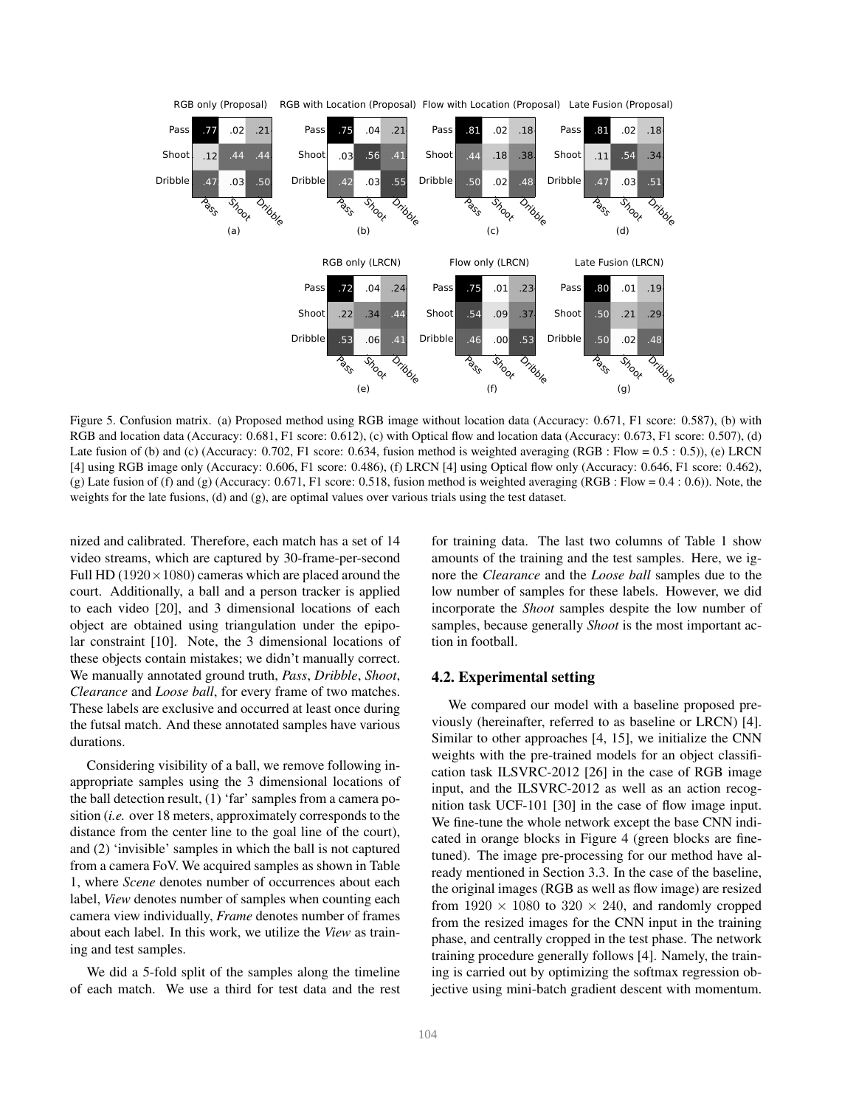

Figure 5. Confusion matrix. (a) Proposed method using RGB image without location data (Accuracy: 0.671, F1 score: 0.587), (b) with RGB and location data (Accuracy: 0.681, F1 score: 0.612), (c) with Optical flow and location data (Accuracy: 0.673, F1 score: 0.507), (d) Late fusion of (b) and (c) (Accuracy: 0.702, F1 score: 0.634, fusion method is weighted averaging (RGB : Flow = 0.5 : 0.5)), (e) LRCN [4] using RGB image only (Accuracy: 0.606, F1 score: 0.486), (f) LRCN [4] using Optical flow only (Accuracy: 0.646, F1 score: 0.462), (g) Late fusion of (f) and (g) (Accuracy: 0.671, F1 score: 0.518, fusion method is weighted averaging (RGB : Flow =  $0.4$  : 0.6)). Note, the weights for the late fusions, (d) and (g), are optimal values over various trials using the test dataset.

nized and calibrated. Therefore, each match has a set of 14 video streams, which are captured by 30-frame-per-second Full HD ( $1920 \times 1080$ ) cameras which are placed around the court. Additionally, a ball and a person tracker is applied to each video [20], and 3 dimensional locations of each object are obtained using triangulation under the epipolar constraint [10]. Note, the 3 dimensional locations of these objects contain mistakes; we didn't manually correct. We manually annotated ground truth, *Pass*, *Dribble*, *Shoot*, *Clearance* and *Loose ball*, for every frame of two matches. These labels are exclusive and occurred at least once during the futsal match. And these annotated samples have various durations.

Considering visibility of a ball, we remove following inappropriate samples using the 3 dimensional locations of the ball detection result, (1) 'far' samples from a camera position (*i.e.* over 18 meters, approximately corresponds to the distance from the center line to the goal line of the court), and (2) 'invisible' samples in which the ball is not captured from a camera FoV. We acquired samples as shown in Table 1, where *Scene* denotes number of occurrences about each label, *View* denotes number of samples when counting each camera view individually, *Frame* denotes number of frames about each label. In this work, we utilize the *View* as training and test samples.

We did a 5-fold split of the samples along the timeline of each match. We use a third for test data and the rest for training data. The last two columns of Table 1 show amounts of the training and the test samples. Here, we ignore the *Clearance* and the *Loose ball* samples due to the low number of samples for these labels. However, we did incorporate the *Shoot* samples despite the low number of samples, because generally *Shoot* is the most important action in football.

### 4.2. Experimental setting

We compared our model with a baseline proposed previously (hereinafter, referred to as baseline or LRCN) [4]. Similar to other approaches [4, 15], we initialize the CNN weights with the pre-trained models for an object classification task ILSVRC-2012 [26] in the case of RGB image input, and the ILSVRC-2012 as well as an action recognition task UCF-101 [30] in the case of flow image input. We fine-tune the whole network except the base CNN indicated in orange blocks in Figure 4 (green blocks are finetuned). The image pre-processing for our method have already mentioned in Section 3.3. In the case of the baseline, the original images (RGB as well as flow image) are resized from  $1920 \times 1080$  to  $320 \times 240$ , and randomly cropped from the resized images for the CNN input in the training phase, and centrally cropped in the test phase. The network training procedure generally follows [4]. Namely, the training is carried out by optimizing the softmax regression objective using mini-batch gradient descent with momentum.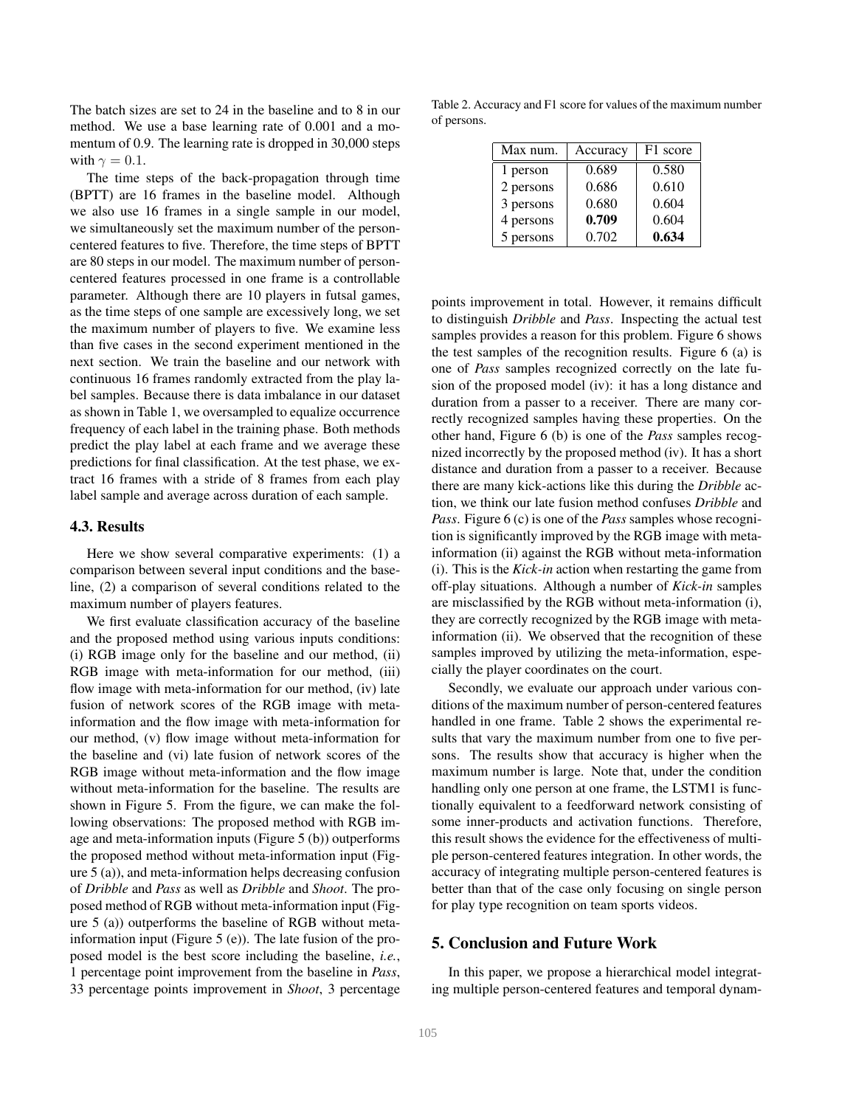The batch sizes are set to 24 in the baseline and to 8 in our method. We use a base learning rate of 0.001 and a momentum of 0.9. The learning rate is dropped in 30,000 steps with  $\gamma = 0.1$ .

The time steps of the back-propagation through time (BPTT) are 16 frames in the baseline model. Although we also use 16 frames in a single sample in our model, we simultaneously set the maximum number of the personcentered features to five. Therefore, the time steps of BPTT are 80 steps in our model. The maximum number of personcentered features processed in one frame is a controllable parameter. Although there are 10 players in futsal games, as the time steps of one sample are excessively long, we set the maximum number of players to five. We examine less than five cases in the second experiment mentioned in the next section. We train the baseline and our network with continuous 16 frames randomly extracted from the play label samples. Because there is data imbalance in our dataset as shown in Table 1, we oversampled to equalize occurrence frequency of each label in the training phase. Both methods predict the play label at each frame and we average these predictions for final classification. At the test phase, we extract 16 frames with a stride of 8 frames from each play label sample and average across duration of each sample.

#### 4.3. Results

Here we show several comparative experiments: (1) a comparison between several input conditions and the baseline, (2) a comparison of several conditions related to the maximum number of players features.

We first evaluate classification accuracy of the baseline and the proposed method using various inputs conditions: (i) RGB image only for the baseline and our method, (ii) RGB image with meta-information for our method, (iii) flow image with meta-information for our method, (iv) late fusion of network scores of the RGB image with metainformation and the flow image with meta-information for our method, (v) flow image without meta-information for the baseline and (vi) late fusion of network scores of the RGB image without meta-information and the flow image without meta-information for the baseline. The results are shown in Figure 5. From the figure, we can make the following observations: The proposed method with RGB image and meta-information inputs (Figure 5 (b)) outperforms the proposed method without meta-information input (Figure 5 (a)), and meta-information helps decreasing confusion of *Dribble* and *Pass* as well as *Dribble* and *Shoot*. The proposed method of RGB without meta-information input (Figure 5 (a)) outperforms the baseline of RGB without metainformation input (Figure 5 (e)). The late fusion of the proposed model is the best score including the baseline, *i.e.*, 1 percentage point improvement from the baseline in *Pass*, 33 percentage points improvement in *Shoot*, 3 percentage

Table 2. Accuracy and F1 score for values of the maximum number of persons.

| Max num.  | Accuracy | F1 score |  |
|-----------|----------|----------|--|
| 1 person  | 0.689    | 0.580    |  |
| 2 persons | 0.686    | 0.610    |  |
| 3 persons | 0.680    | 0.604    |  |
| 4 persons | 0.709    | 0.604    |  |
| 5 persons | 0.702    | 0.634    |  |

points improvement in total. However, it remains difficult to distinguish *Dribble* and *Pass*. Inspecting the actual test samples provides a reason for this problem. Figure 6 shows the test samples of the recognition results. Figure 6 (a) is one of *Pass* samples recognized correctly on the late fusion of the proposed model (iv): it has a long distance and duration from a passer to a receiver. There are many correctly recognized samples having these properties. On the other hand, Figure 6 (b) is one of the *Pass* samples recognized incorrectly by the proposed method (iv). It has a short distance and duration from a passer to a receiver. Because there are many kick-actions like this during the *Dribble* action, we think our late fusion method confuses *Dribble* and *Pass*. Figure 6 (c) is one of the *Pass* samples whose recognition is significantly improved by the RGB image with metainformation (ii) against the RGB without meta-information (i). This is the *Kick-in* action when restarting the game from off-play situations. Although a number of *Kick-in* samples are misclassified by the RGB without meta-information (i), they are correctly recognized by the RGB image with metainformation (ii). We observed that the recognition of these samples improved by utilizing the meta-information, especially the player coordinates on the court.

Secondly, we evaluate our approach under various conditions of the maximum number of person-centered features handled in one frame. Table 2 shows the experimental results that vary the maximum number from one to five persons. The results show that accuracy is higher when the maximum number is large. Note that, under the condition handling only one person at one frame, the LSTM1 is functionally equivalent to a feedforward network consisting of some inner-products and activation functions. Therefore, this result shows the evidence for the effectiveness of multiple person-centered features integration. In other words, the accuracy of integrating multiple person-centered features is better than that of the case only focusing on single person for play type recognition on team sports videos.

## 5. Conclusion and Future Work

In this paper, we propose a hierarchical model integrating multiple person-centered features and temporal dynam-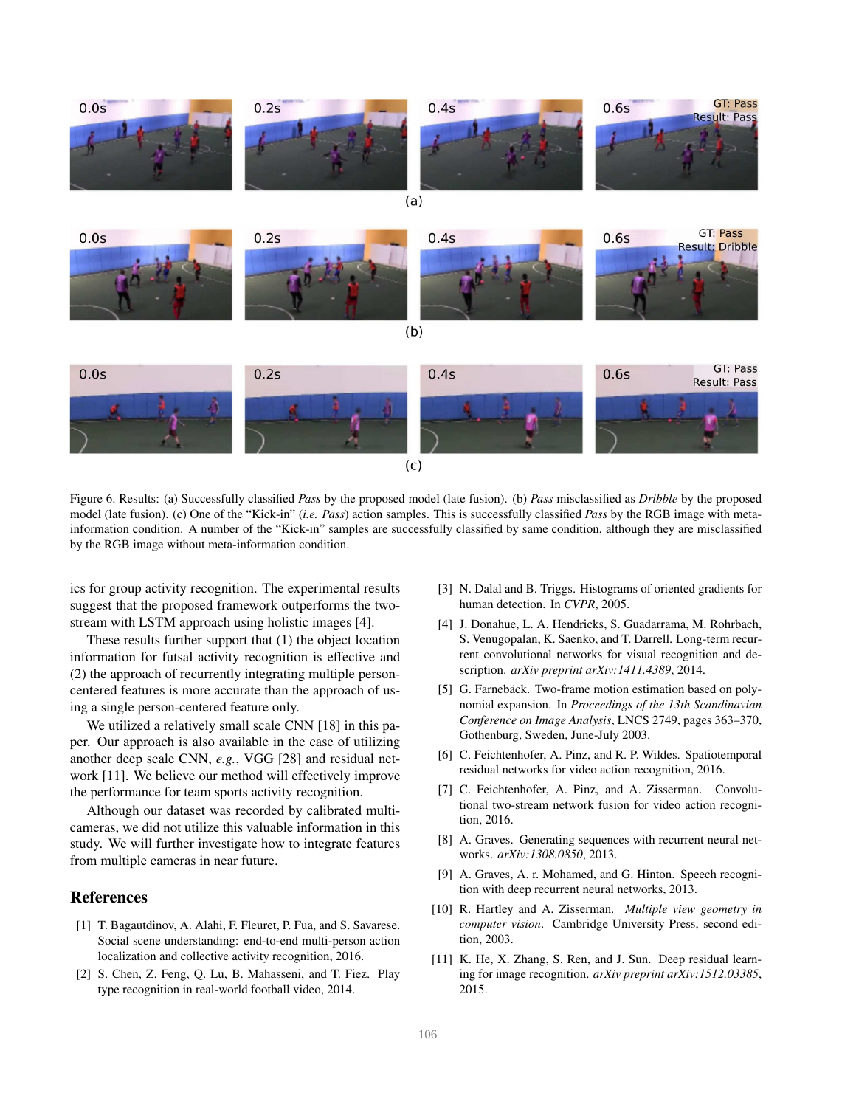

Figure 6. Results: (a) Successfully classified *Pass* by the proposed model (late fusion). (b) *Pass* misclassified as *Dribble* by the proposed model (late fusion). (c) One of the "Kick-in" (*i.e. Pass*) action samples. This is successfully classified *Pass* by the RGB image with metainformation condition. A number of the "Kick-in" samples are successfully classified by same condition, although they are misclassified by the RGB image without meta-information condition.

ics for group activity recognition. The experimental results suggest that the proposed framework outperforms the twostream with LSTM approach using holistic images [4].

These results further support that (1) the object location information for futsal activity recognition is effective and (2) the approach of recurrently integrating multiple personcentered features is more accurate than the approach of using a single person-centered feature only.

We utilized a relatively small scale CNN [18] in this paper. Our approach is also available in the case of utilizing another deep scale CNN, *e.g.*, VGG [28] and residual network [11]. We believe our method will effectively improve the performance for team sports activity recognition.

Although our dataset was recorded by calibrated multicameras, we did not utilize this valuable information in this study. We will further investigate how to integrate features from multiple cameras in near future.

# **References**

- [1] T. Bagautdinov, A. Alahi, F. Fleuret, P. Fua, and S. Savarese. Social scene understanding: end-to-end multi-person action localization and collective activity recognition, 2016.
- [2] S. Chen, Z. Feng, Q. Lu, B. Mahasseni, and T. Fiez. Play type recognition in real-world football video, 2014.
- [3] N. Dalal and B. Triggs. Histograms of oriented gradients for human detection. In *CVPR*, 2005.
- [4] J. Donahue, L. A. Hendricks, S. Guadarrama, M. Rohrbach, S. Venugopalan, K. Saenko, and T. Darrell. Long-term recurrent convolutional networks for visual recognition and description. *arXiv preprint arXiv:1411.4389*, 2014.
- [5] G. Farnebäck. Two-frame motion estimation based on polynomial expansion. In *Proceedings of the 13th Scandinavian Conference on Image Analysis*, LNCS 2749, pages 363–370, Gothenburg, Sweden, June-July 2003.
- [6] C. Feichtenhofer, A. Pinz, and R. P. Wildes. Spatiotemporal residual networks for video action recognition, 2016.
- [7] C. Feichtenhofer, A. Pinz, and A. Zisserman. Convolutional two-stream network fusion for video action recognition, 2016.
- [8] A. Graves. Generating sequences with recurrent neural networks. *arXiv:1308.0850*, 2013.
- [9] A. Graves, A. r. Mohamed, and G. Hinton. Speech recognition with deep recurrent neural networks, 2013.
- [10] R. Hartley and A. Zisserman. *Multiple view geometry in computer vision*. Cambridge University Press, second edition, 2003.
- [11] K. He, X. Zhang, S. Ren, and J. Sun. Deep residual learning for image recognition. *arXiv preprint arXiv:1512.03385*, 2015.